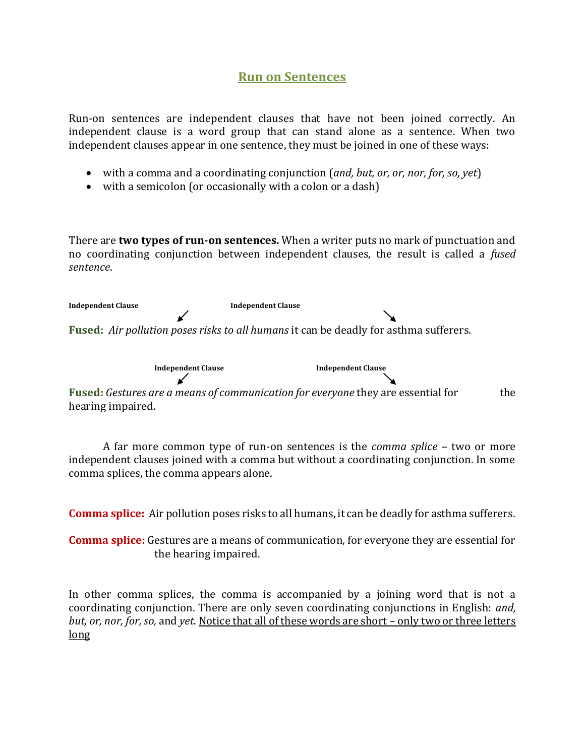## **Run on Sentences**

Run-on sentences are independent clauses that have not been joined correctly. An independent clause is a word group that can stand alone as a sentence. When two independent clauses appear in one sentence, they must be joined in one of these ways:

- with a comma and a coordinating conjunction (*and, but, or, or, nor, for, so, yet*)
- with a semicolon (or occasionally with a colon or a dash)

There are **two types of run-on sentences.** When a writer puts no mark of punctuation and no coordinating conjunction between independent clauses, the result is called a *fused sentence*.

**Independent Clause Independent Clause Fused:** *Air pollution poses risks to all humans* it can be deadly for asthma sufferers.

 **Independent Clause Independent Clause**  $\boldsymbol{\mathcal{C}}$ **Fused:** *Gestures are a means of communication for everyone* they are essential for the hearing impaired.

A far more common type of run-on sentences is the *comma splice* – two or more independent clauses joined with a comma but without a coordinating conjunction. In some comma splices, the comma appears alone.

**Comma splice:** Air pollution poses risks to all humans, it can be deadly for asthma sufferers.

**Comma splice:** Gestures are a means of communication, for everyone they are essential for the hearing impaired.

In other comma splices, the comma is accompanied by a joining word that is not a coordinating conjunction. There are only seven coordinating conjunctions in English: *and, but, or, nor, for, so,* and *yet*. Notice that all of these words are short – only two or three letters long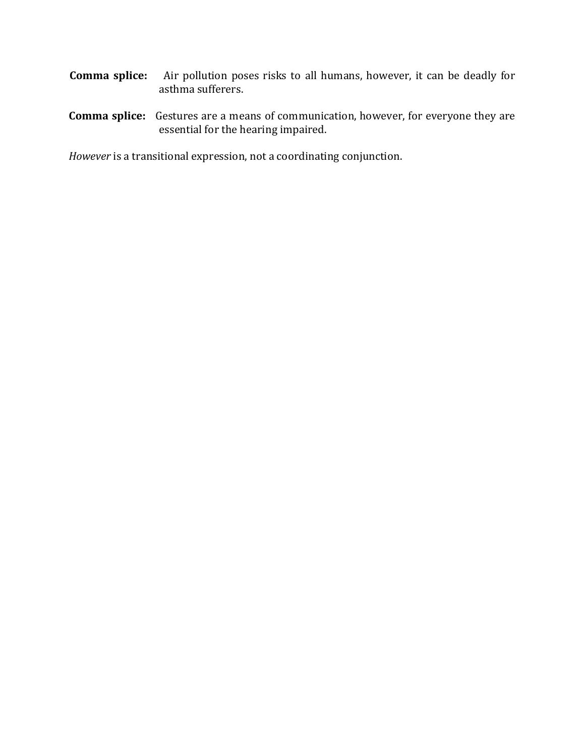- **Comma splice:** Air pollution poses risks to all humans, however, it can be deadly for asthma sufferers.
- **Comma splice:** Gestures are a means of communication, however, for everyone they are essential for the hearing impaired.

*However* is a transitional expression, not a coordinating conjunction.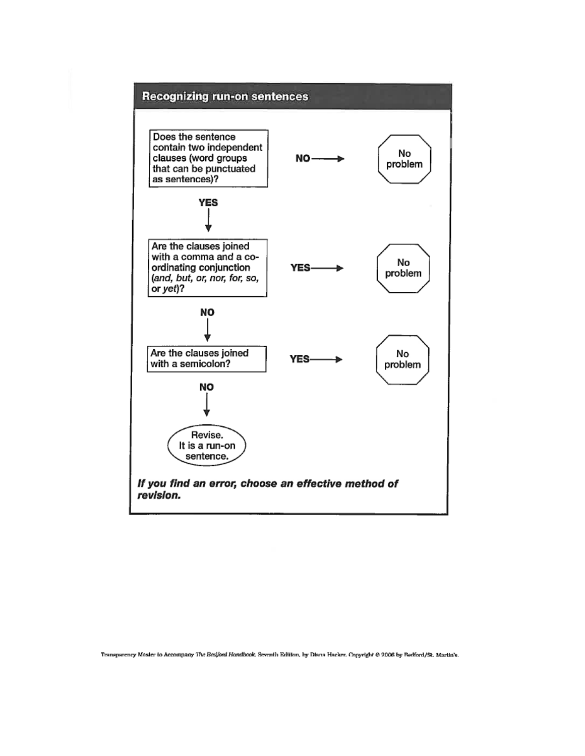

Transparency Master to Accompany The Bedford Handbook, Seventh Edition, by Diana Hacker. Copyright @ 2006 by Redford/St. Martin's.